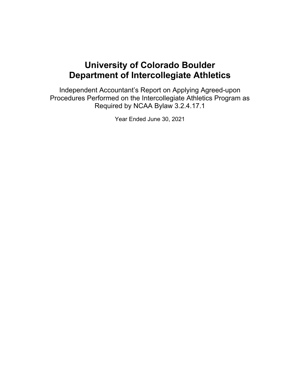Independent Accountant's Report on Applying Agreed-upon Procedures Performed on the Intercollegiate Athletics Program as Required by NCAA Bylaw 3.2.4.17.1

Year Ended June 30, 2021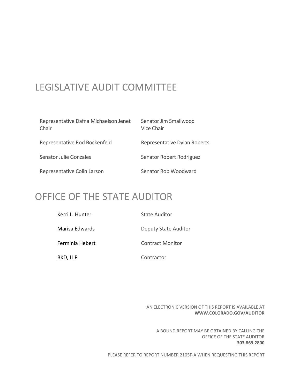# LEGISLATIVE AUDIT COMMITTEE

| Representative Dafna Michaelson Jenet<br>Chair | Senator Jim Smallwood<br>Vice Chair |  |  |
|------------------------------------------------|-------------------------------------|--|--|
| Representative Rod Bockenfeld                  | Representative Dylan Roberts        |  |  |
| Senator Julie Gonzales                         | Senator Robert Rodriguez            |  |  |
| Representative Colin Larson                    | Senator Rob Woodward                |  |  |

# OFFICE OF THE STATE AUDITOR

| Kerri L. Hunter | State Auditor               |
|-----------------|-----------------------------|
| Marisa Edwards  | <b>Deputy State Auditor</b> |
| Ferminia Hebert | Contract Monitor            |
| BKD, LLP        | Contractor                  |

AN ELECTRONIC VERSION OF THIS REPORT IS AVAILABLE AT **WWW.COLORADO.GOV/AUDITOR**

A BOUND REPORT MAY BE OBTAINED BY CALLING THE OFFICE OF THE STATE AUDITOR **303.869.2800**

PLEASE REFER TO REPORT NUMBER 2105F‐A WHEN REQUESTING THIS REPORT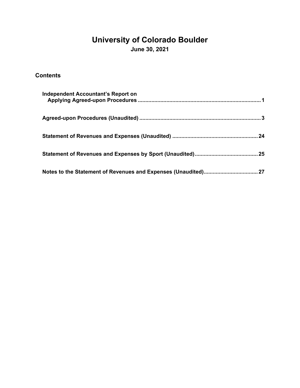# **University of Colorado Boulder**

**June 30, 2021** 

### **Contents**

| Independent Accountant's Report on |
|------------------------------------|
|                                    |
|                                    |
|                                    |
|                                    |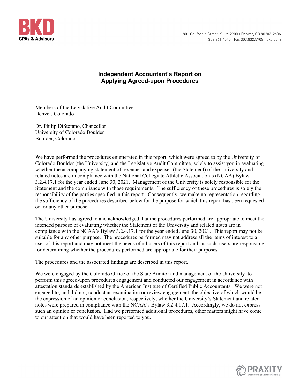

#### **Independent Accountant's Report on Applying Agreed-upon Procedures**

Members of the Legislative Audit Committee Denver, Colorado

Dr. Philip DiStefano, Chancellor University of Colorado Boulder Boulder, Colorado

We have performed the procedures enumerated in this report, which were agreed to by the University of Colorado Boulder (the University) and the Legislative Audit Committee, solely to assist you in evaluating whether the accompanying statement of revenues and expenses (the Statement) of the University and related notes are in compliance with the National Collegiate Athletic Association's (NCAA) Bylaw 3.2.4.17.1 for the year ended June 30, 2021. Management of the University is solely responsible for the Statement and the compliance with those requirements. The sufficiency of these procedures is solely the responsibility of the parties specified in this report. Consequently, we make no representation regarding the sufficiency of the procedures described below for the purpose for which this report has been requested or for any other purpose.

The University has agreed to and acknowledged that the procedures performed are appropriate to meet the intended purpose of evaluating whether the Statement of the University and related notes are in compliance with the NCAA's Bylaw 3.2.4.17.1 for the year ended June 30, 2021. This report may not be suitable for any other purpose. The procedures performed may not address all the items of interest to a user of this report and may not meet the needs of all users of this report and, as such, users are responsible for determining whether the procedures performed are appropriate for their purposes.

The procedures and the associated findings are described in this report.

We were engaged by the Colorado Office of the State Auditor and management of the University to perform this agreed-upon procedures engagement and conducted our engagement in accordance with attestation standards established by the American Institute of Certified Public Accountants. We were not engaged to, and did not, conduct an examination or review engagement, the objective of which would be the expression of an opinion or conclusion, respectively, whether the University's Statement and related notes were prepared in compliance with the NCAA's Bylaw 3.2.4.17.1. Accordingly, we do not express such an opinion or conclusion. Had we performed additional procedures, other matters might have come to our attention that would have been reported to you.

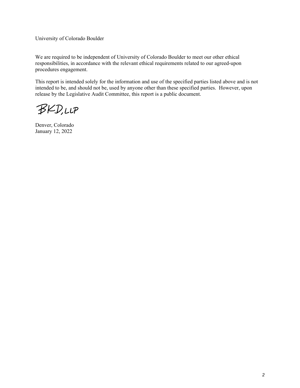University of Colorado Boulder

We are required to be independent of University of Colorado Boulder to meet our other ethical responsibilities, in accordance with the relevant ethical requirements related to our agreed-upon procedures engagement.

This report is intended solely for the information and use of the specified parties listed above and is not intended to be, and should not be, used by anyone other than these specified parties. However, upon release by the Legislative Audit Committee, this report is a public document.

**BKD,LLP** 

Denver, Colorado January 12, 2022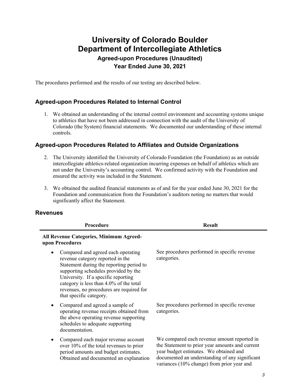### **University of Colorado Boulder Department of Intercollegiate Athletics Agreed-upon Procedures (Unaudited) Year Ended June 30, 2021**

The procedures performed and the results of our testing are described below.

#### **Agreed-upon Procedures Related to Internal Control**

1. We obtained an understanding of the internal control environment and accounting systems unique to athletics that have not been addressed in connection with the audit of the University of Colorado (the System) financial statements. We documented our understanding of these internal controls.

#### **Agreed-upon Procedures Related to Affiliates and Outside Organizations**

- 2. The University identified the University of Colorado Foundation (the Foundation) as an outside intercollegiate athletics-related organization incurring expenses on behalf of athletics which are not under the University's accounting control. We confirmed activity with the Foundation and ensured the activity was included in the Statement.
- 3. We obtained the audited financial statements as of and for the year ended June 30, 2021 for the Foundation and communication from the Foundation's auditors noting no matters that would significantly affect the Statement.

#### **Revenues**

| Procedure                                                                                                                                                                                                                                                                                                                        | <b>Result</b>                                                                                                                                                                                                                            |
|----------------------------------------------------------------------------------------------------------------------------------------------------------------------------------------------------------------------------------------------------------------------------------------------------------------------------------|------------------------------------------------------------------------------------------------------------------------------------------------------------------------------------------------------------------------------------------|
| All Revenue Categories, Minimum Agreed-<br>upon Procedures                                                                                                                                                                                                                                                                       |                                                                                                                                                                                                                                          |
| Compared and agreed each operating<br>$\bullet$<br>revenue category reported in the<br>Statement during the reporting period to<br>supporting schedules provided by the<br>University. If a specific reporting<br>category is less than 4.0% of the total<br>revenues, no procedures are required for<br>that specific category. | See procedures performed in specific revenue<br>categories.                                                                                                                                                                              |
| Compared and agreed a sample of<br>operating revenue receipts obtained from<br>the above operating revenue supporting<br>schedules to adequate supporting<br>documentation.                                                                                                                                                      | See procedures performed in specific revenue<br>categories.                                                                                                                                                                              |
| Compared each major revenue account<br>over 10% of the total revenues to prior<br>period amounts and budget estimates.<br>Obtained and documented an explanation                                                                                                                                                                 | We compared each revenue amount reported in<br>the Statement to prior year amounts and current<br>year budget estimates. We obtained and<br>documented an understanding of any significant<br>variances (10% change) from prior year and |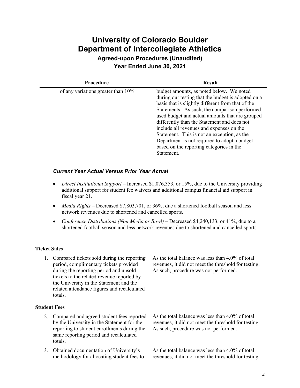**Agreed-upon Procedures (Unaudited) Year Ended June 30, 2021** 

| <b>Procedure</b>                    | <b>Result</b>                                                                                                                                                                                                                                                                                                                                                                                                                                                                                               |  |
|-------------------------------------|-------------------------------------------------------------------------------------------------------------------------------------------------------------------------------------------------------------------------------------------------------------------------------------------------------------------------------------------------------------------------------------------------------------------------------------------------------------------------------------------------------------|--|
| of any variations greater than 10%. | budget amounts, as noted below. We noted<br>during our testing that the budget is adopted on a<br>basis that is slightly different from that of the<br>Statements. As such, the comparison performed<br>used budget and actual amounts that are grouped<br>differently than the Statement and does not<br>include all revenues and expenses on the<br>Statement. This is not an exception, as the<br>Department is not required to adopt a budget<br>based on the reporting categories in the<br>Statement. |  |

#### *Current Year Actual Versus Prior Year Actual*

- *Direct Institutional Support* Increased \$1,076,353, or 15%, due to the University providing additional support for student fee waivers and additional campus financial aid support in fiscal year 21.
- *Media Rights Decreased \$7,803,701, or 36%, due a shortened football season and less* network revenues due to shortened and cancelled sports.
- Conference Distributions (Non Media or Bowl) Decreased \$4,240,133, or 41%, due to a shortened football season and less network revenues due to shortened and cancelled sports.

#### **Ticket Sales**

1. Compared tickets sold during the reporting period, complimentary tickets provided during the reporting period and unsold tickets to the related revenue reported by the University in the Statement and the related attendance figures and recalculated totals.

#### **Student Fees**

- 2. Compared and agreed student fees reported by the University in the Statement for the reporting to student enrollments during the same reporting period and recalculated totals.
- 3. Obtained documentation of University's methodology for allocating student fees to

As the total balance was less than 4.0% of total revenues, it did not meet the threshold for testing. As such, procedure was not performed.

As the total balance was less than 4.0% of total revenues, it did not meet the threshold for testing. As such, procedure was not performed.

As the total balance was less than 4.0% of total revenues, it did not meet the threshold for testing.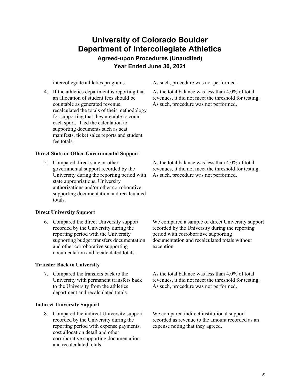### **University of Colorado Boulder Department of Intercollegiate Athletics Agreed-upon Procedures (Unaudited)**

**Year Ended June 30, 2021** 

4. If the athletics department is reporting that an allocation of student fees should be countable as generated revenue, recalculated the totals of their methodology for supporting that they are able to count each sport. Tied the calculation to supporting documents such as seat manifests, ticket sales reports and student fee totals.

#### **Direct State or Other Governmental Support**

5. Compared direct state or other governmental support recorded by the University during the reporting period with state appropriations, University authorizations and/or other corroborative supporting documentation and recalculated totals.

#### **Direct University Support**

6. Compared the direct University support recorded by the University during the reporting period with the University supporting budget transfers documentation and other corroborative supporting documentation and recalculated totals.

#### **Transfer Back to University**

7. Compared the transfers back to the University with permanent transfers back to the University from the athletics department and recalculated totals.

#### **Indirect University Support**

8. Compared the indirect University support recorded by the University during the reporting period with expense payments, cost allocation detail and other corroborative supporting documentation and recalculated totals.

intercollegiate athletics programs. As such, procedure was not performed.

As the total balance was less than 4.0% of total revenues, it did not meet the threshold for testing. As such, procedure was not performed.

As the total balance was less than 4.0% of total revenues, it did not meet the threshold for testing. As such, procedure was not performed.

We compared a sample of direct University support recorded by the University during the reporting period with corroborative supporting documentation and recalculated totals without exception.

As the total balance was less than 4.0% of total revenues, it did not meet the threshold for testing. As such, procedure was not performed.

We compared indirect institutional support recorded as revenue to the amount recorded as an expense noting that they agreed.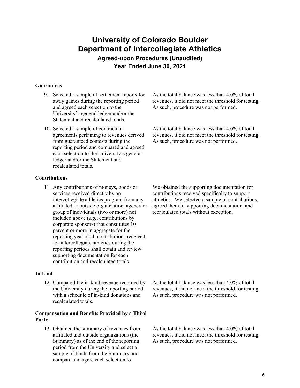**Agreed-upon Procedures (Unaudited) Year Ended June 30, 2021** 

#### **Guarantees**

- 9. Selected a sample of settlement reports for away games during the reporting period and agreed each selection to the University's general ledger and/or the Statement and recalculated totals.
- 10. Selected a sample of contractual agreements pertaining to revenues derived from guaranteed contests during the reporting period and compared and agreed each selection to the University's general ledger and/or the Statement and recalculated totals.

#### **Contributions**

11. Any contributions of moneys, goods or services received directly by an intercollegiate athletics program from any affiliated or outside organization, agency or group of individuals (two or more) not included above (*e.g.*, contributions by corporate sponsors) that constitutes 10 percent or more in aggregate for the reporting year of all contributions received for intercollegiate athletics during the reporting periods shall obtain and review supporting documentation for each contribution and recalculated totals.

#### **In-kind**

12. Compared the in-kind revenue recorded by the University during the reporting period with a schedule of in-kind donations and recalculated totals.

#### **Compensation and Benefits Provided by a Third Party**

13. Obtained the summary of revenues from affiliated and outside organizations (the Summary) as of the end of the reporting period from the University and select a sample of funds from the Summary and compare and agree each selection to

As the total balance was less than 4.0% of total revenues, it did not meet the threshold for testing. As such, procedure was not performed.

As the total balance was less than 4.0% of total revenues, it did not meet the threshold for testing. As such, procedure was not performed.

We obtained the supporting documentation for contributions received specifically to support athletics. We selected a sample of contributions, agreed them to supporting documentation, and recalculated totals without exception.

As the total balance was less than 4.0% of total revenues, it did not meet the threshold for testing. As such, procedure was not performed.

As the total balance was less than 4.0% of total revenues, it did not meet the threshold for testing. As such, procedure was not performed.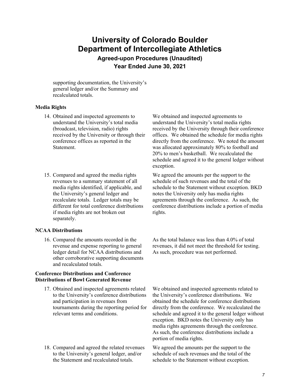**Agreed-upon Procedures (Unaudited) Year Ended June 30, 2021** 

supporting documentation, the University's general ledger and/or the Summary and recalculated totals.

#### **Media Rights**

- 14. Obtained and inspected agreements to understand the University's total media (broadcast, television, radio) rights received by the University or through their conference offices as reported in the Statement.
- 15. Compared and agreed the media rights revenues to a summary statement of all media rights identified, if applicable, and the University's general ledger and recalculate totals. Ledger totals may be different for total conference distributions if media rights are not broken out separately.

#### **NCAA Distributions**

16. Compared the amounts recorded in the revenue and expense reporting to general ledger detail for NCAA distributions and other corroborative supporting documents and recalculated totals.

#### **Conference Distributions and Conference Distributions of Bowl Generated Revenue**

- 17. Obtained and inspected agreements related to the University's conference distributions and participation in revenues from tournaments during the reporting period for relevant terms and conditions.
- 18. Compared and agreed the related revenues to the University's general ledger, and/or the Statement and recalculated totals.

We obtained and inspected agreements to understand the University's total media rights received by the University through their conference offices. We obtained the schedule for media rights directly from the conference. We noted the amount was allocated approximately 80% to football and 20% to men's basketball. We recalculated the schedule and agreed it to the general ledger without exception.

We agreed the amounts per the support to the schedule of such revenues and the total of the schedule to the Statement without exception. BKD notes the University only has media rights agreements through the conference. As such, the conference distributions include a portion of media rights.

As the total balance was less than 4.0% of total revenues, it did not meet the threshold for testing. As such, procedure was not performed.

We obtained and inspected agreements related to the University's conference distributions. We obtained the schedule for conference distributions directly from the conference. We recalculated the schedule and agreed it to the general ledger without exception. BKD notes the University only has media rights agreements through the conference. As such, the conference distributions include a portion of media rights.

We agreed the amounts per the support to the schedule of such revenues and the total of the schedule to the Statement without exception.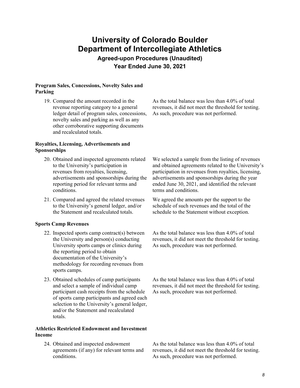**Agreed-upon Procedures (Unaudited) Year Ended June 30, 2021** 

#### **Program Sales, Concessions, Novelty Sales and Parking**

19. Compared the amount recorded in the revenue reporting category to a general ledger detail of program sales, concessions, novelty sales and parking as well as any other corroborative supporting documents and recalculated totals.

#### **Royalties, Licensing, Advertisements and Sponsorships**

- 20. Obtained and inspected agreements related to the University's participation in revenues from royalties, licensing, advertisements and sponsorships during the reporting period for relevant terms and conditions.
- 21. Compared and agreed the related revenues to the University's general ledger, and/or the Statement and recalculated totals.

#### **Sports Camp Revenues**

- 22. Inspected sports camp contract(s) between the University and person(s) conducting University sports camps or clinics during the reporting period to obtain documentation of the University's methodology for recording revenues from sports camps.
- 23. Obtained schedules of camp participants and select a sample of individual camp participant cash receipts from the schedule of sports camp participants and agreed each selection to the University's general ledger, and/or the Statement and recalculated totals.

#### **Athletics Restricted Endowment and Investment Income**

24. Obtained and inspected endowment agreements (if any) for relevant terms and conditions.

As the total balance was less than 4.0% of total revenues, it did not meet the threshold for testing. As such, procedure was not performed.

We selected a sample from the listing of revenues and obtained agreements related to the University's participation in revenues from royalties, licensing, advertisements and sponsorships during the year ended June 30, 2021, and identified the relevant terms and conditions.

We agreed the amounts per the support to the schedule of such revenues and the total of the schedule to the Statement without exception.

As the total balance was less than 4.0% of total revenues, it did not meet the threshold for testing. As such, procedure was not performed.

As the total balance was less than 4.0% of total revenues, it did not meet the threshold for testing. As such, procedure was not performed.

As the total balance was less than 4.0% of total revenues, it did not meet the threshold for testing. As such, procedure was not performed.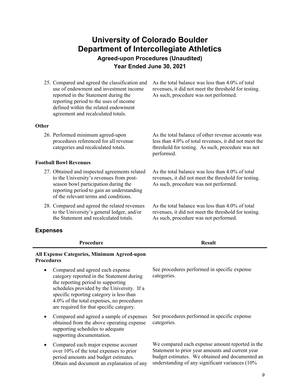**Agreed-upon Procedures (Unaudited) Year Ended June 30, 2021** 

25. Compared and agreed the classification and use of endowment and investment income reported in the Statement during the reporting period to the uses of income defined within the related endowment agreement and recalculated totals.

As the total balance was less than 4.0% of total revenues, it did not meet the threshold for testing. As such, procedure was not performed.

#### **Other**

26. Performed minimum agreed-upon procedures referenced for all revenue categories and recalculated totals.

#### **Football Bowl Revenues**

- 27. Obtained and inspected agreements related to the University's revenues from postseason bowl participation during the reporting period to gain an understanding of the relevant terms and conditions.
- 28. Compared and agreed the related revenues to the University's general ledger, and/or the Statement and recalculated totals.

#### **Expenses**

| <b>Expenses</b>                                                                                                                                                                                                                                                                                        |                                                                                                                                                                                                           |
|--------------------------------------------------------------------------------------------------------------------------------------------------------------------------------------------------------------------------------------------------------------------------------------------------------|-----------------------------------------------------------------------------------------------------------------------------------------------------------------------------------------------------------|
| Procedure                                                                                                                                                                                                                                                                                              | <b>Result</b>                                                                                                                                                                                             |
| All Expense Categories, Minimum Agreed-upon<br><b>Procedures</b>                                                                                                                                                                                                                                       |                                                                                                                                                                                                           |
| Compared and agreed each expense<br>category reported in the Statement during<br>the reporting period to supporting<br>schedules provided by the University. If a<br>specific reporting category is less than<br>4.0% of the total expenses, no procedures<br>are required for that specific category. | See procedures performed in specific expense<br>categories.                                                                                                                                               |
| Compared and agreed a sample of expenses<br>$\bullet$<br>obtained from the above operating expense<br>supporting schedules to adequate<br>supporting documentation.                                                                                                                                    | See procedures performed in specific expense<br>categories.                                                                                                                                               |
| Compared each major expense account<br>٠<br>over 10% of the total expenses to prior<br>period amounts and budget estimates.<br>Obtain and document an explanation of any                                                                                                                               | We compared each expense amount reported in the<br>Statement to prior year amounts and current year<br>budget estimates. We obtained and documented an<br>understanding of any significant variances (10% |

As the total balance of other revenue accounts was less than 4.0% of total revenues, it did not meet the threshold for testing. As such, procedure was not performed.

As the total balance was less than 4.0% of total revenues, it did not meet the threshold for testing. As such, procedure was not performed.

As the total balance was less than 4.0% of total revenues, it did not meet the threshold for testing. As such, procedure was not performed.

*9*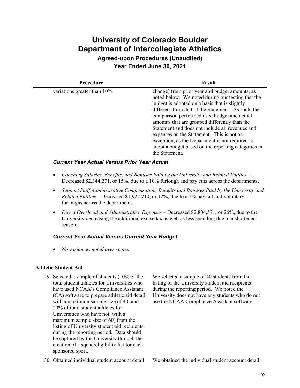**Agreed-upon Procedures (Unaudited) Year Ended June 30, 2021** 

| <b>Procedure</b>                 | <b>Result</b>                                                                                                                                                                                                                                                                                                                                                                                                                                                                                                                          |  |
|----------------------------------|----------------------------------------------------------------------------------------------------------------------------------------------------------------------------------------------------------------------------------------------------------------------------------------------------------------------------------------------------------------------------------------------------------------------------------------------------------------------------------------------------------------------------------------|--|
| variations greater than $10\%$ . | change) from prior year and budget amounts, as<br>noted below. We noted during our testing that the<br>budget is adopted on a basis that is slightly<br>different from that of the Statement. As such, the<br>comparison performed used budget and actual<br>amounts that are grouped differently than the<br>Statement and does not include all revenues and<br>expenses on the Statement. This is not an<br>exception, as the Department is not required to<br>adopt a budget based on the reporting categories in<br>the Statement. |  |

#### *Current Year Actual Versus Prior Year Actual*

- *Coaching Salaries, Benefits, and Bonuses Paid by the University and Related Entities*  Decreased \$2,344,271, or 15%, due to a 10% furlough and pay cuts across the departments.
- *Support Staff/Administrative Compensation, Benefits and Bonuses Paid by the University and Related Entities –* Decreased \$1,927,710, or 12%, due to a 5% pay cut and voluntary furloughs across the departments.
- *Direct Overhead and Administrative Expenses* Decreased \$2,804,571, or 26%, due to the University decreasing the additional excise tax as well as less spending due to a shortened season.

#### *Current Year Actual Versus Current Year Budget*

*No variances noted over scope.* 

#### **Athletic Student Aid**

- 29. Selected a sample of students (10% of the total student athletes for Universities who have used NCAA's Compliance Assistant (CA) software to prepare athletic aid detail, with a maximum sample size of 40, and 20% of total student athletes for Universities who have not, with a maximum sample size of 60) from the listing of University student aid recipients during the reporting period. Data should be captured by the University through the creation of a squad/eligibility list for each sponsored sport.
- 

We selected a sample of 40 students from the listing of the University student aid recipients during the reporting period. We noted the University does not have any students who do not use the NCAA Compliance Assistant software.

30. Obtained individual student account detail We obtained the individual student account detail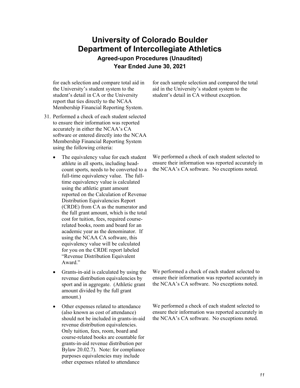**Agreed-upon Procedures (Unaudited) Year Ended June 30, 2021** 

for each selection and compare total aid in the University's student system to the student's detail in CA or the University report that ties directly to the NCAA Membership Financial Reporting System.

- 31. Performed a check of each student selected to ensure their information was reported accurately in either the NCAA's CA software or entered directly into the NCAA Membership Financial Reporting System using the following criteria:
	- The equivalency value for each student athlete in all sports, including headcount sports, needs to be converted to a full-time equivalency value. The fulltime equivalency value is calculated using the athletic grant amount reported on the Calculation of Revenue Distribution Equivalencies Report (CRDE) from CA as the numerator and the full grant amount, which is the total cost for tuition, fees, required courserelated books, room and board for an academic year as the denominator. If using the NCAA CA software, this equivalency value will be calculated for you on the CRDE report labeled "Revenue Distribution Equivalent Award."
	- Grants-in-aid is calculated by using the revenue distribution equivalencies by sport and in aggregate. (Athletic grant amount divided by the full grant amount.)
	- Other expenses related to attendance (also known as cost of attendance) should not be included in grants-in-aid revenue distribution equivalencies. Only tuition, fees, room, board and course-related books are countable for grants-in-aid revenue distribution per Bylaw 20.02.7). Note: for compliance purposes equivalencies may include other expenses related to attendance

for each sample selection and compared the total aid in the University's student system to the student's detail in CA without exception.

We performed a check of each student selected to ensure their information was reported accurately in the NCAA's CA software. No exceptions noted.

We performed a check of each student selected to ensure their information was reported accurately in the NCAA's CA software. No exceptions noted.

We performed a check of each student selected to ensure their information was reported accurately in the NCAA's CA software. No exceptions noted.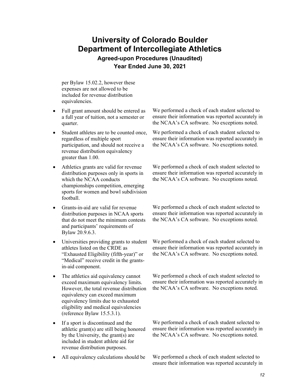**Agreed-upon Procedures (Unaudited) Year Ended June 30, 2021** 

per Bylaw 15.02.2, however these expenses are not allowed to be included for revenue distribution equivalencies.

- Full grant amount should be entered as a full year of tuition, not a semester or quarter.
- Student athletes are to be counted once, regardless of multiple sport participation, and should not receive a revenue distribution equivalency greater than 1.00.
- Athletics grants are valid for revenue distribution purposes only in sports in which the NCAA conducts championships competition, emerging sports for women and bowl subdivision football.
- Grants-in-aid are valid for revenue distribution purposes in NCAA sports that do not meet the minimum contests and participants' requirements of Bylaw 20.9.6.3.
- Universities providing grants to student athletes listed on the CRDE as "Exhausted Eligibility (fifth-year)" or "Medical" receive credit in the grantsin-aid component.
- The athletics aid equivalency cannot exceed maximum equivalency limits. However, the total revenue distribution equivalency can exceed maximum equivalency limits due to exhausted eligibility and medical equivalencies (reference Bylaw 15.5.3.1).
- If a sport is discontinued and the athletic grant(s) are still being honored by the University, the grant(s) are included in student athlete aid for revenue distribution purposes.
- 

We performed a check of each student selected to ensure their information was reported accurately in the NCAA's CA software. No exceptions noted.

We performed a check of each student selected to ensure their information was reported accurately in the NCAA's CA software. No exceptions noted.

We performed a check of each student selected to ensure their information was reported accurately in the NCAA's CA software. No exceptions noted.

We performed a check of each student selected to ensure their information was reported accurately in the NCAA's CA software. No exceptions noted.

We performed a check of each student selected to ensure their information was reported accurately in the NCAA's CA software. No exceptions noted.

We performed a check of each student selected to ensure their information was reported accurately in the NCAA's CA software. No exceptions noted.

We performed a check of each student selected to ensure their information was reported accurately in the NCAA's CA software. No exceptions noted.

• All equivalency calculations should be We performed a check of each student selected to ensure their information was reported accurately in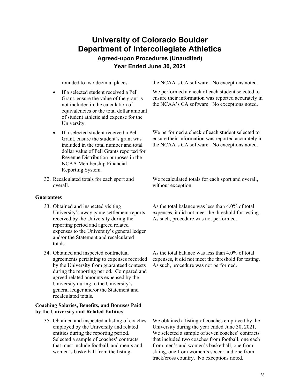### **University of Colorado Boulder Department of Intercollegiate Athletics Agreed-upon Procedures (Unaudited)**

**Year Ended June 30, 2021** 

- If a selected student received a Pell Grant, ensure the value of the grant is not included in the calculation of equivalencies or the total dollar amount of student athletic aid expense for the University.
- If a selected student received a Pell Grant, ensure the student's grant was included in the total number and total dollar value of Pell Grants reported for Revenue Distribution purposes in the NCAA Membership Financial Reporting System.
- 32. Recalculated totals for each sport and overall.

#### **Guarantees**

- 33. Obtained and inspected visiting University's away game settlement reports received by the University during the reporting period and agreed related expenses to the University's general ledger and/or the Statement and recalculated totals.
- 34. Obtained and inspected contractual agreements pertaining to expenses recorded by the University from guaranteed contests during the reporting period. Compared and agreed related amounts expensed by the University during to the University's general ledger and/or the Statement and recalculated totals.

#### **Coaching Salaries, Benefits, and Bonuses Paid by the University and Related Entities**

35. Obtained and inspected a listing of coaches employed by the University and related entities during the reporting period. Selected a sample of coaches' contracts that must include football, and men's and women's basketball from the listing.

rounded to two decimal places. the NCAA's CA software. No exceptions noted.

We performed a check of each student selected to ensure their information was reported accurately in the NCAA's CA software. No exceptions noted.

We performed a check of each student selected to ensure their information was reported accurately in the NCAA's CA software. No exceptions noted.

We recalculated totals for each sport and overall, without exception.

As the total balance was less than 4.0% of total expenses, it did not meet the threshold for testing. As such, procedure was not performed.

As the total balance was less than 4.0% of total expenses, it did not meet the threshold for testing. As such, procedure was not performed.

We obtained a listing of coaches employed by the University during the year ended June 30, 2021. We selected a sample of seven coaches' contracts that included two coaches from football, one each from men's and women's basketball, one from skiing, one from women's soccer and one from track/cross country. No exceptions noted.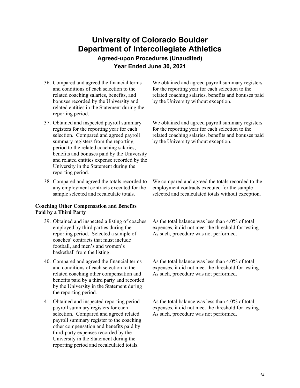**Agreed-upon Procedures (Unaudited) Year Ended June 30, 2021** 

- 36. Compared and agreed the financial terms and conditions of each selection to the related coaching salaries, benefits, and bonuses recorded by the University and related entities in the Statement during the reporting period.
- 37. Obtained and inspected payroll summary registers for the reporting year for each selection. Compared and agreed payroll summary registers from the reporting period to the related coaching salaries, benefits and bonuses paid by the University and related entities expense recorded by the University in the Statement during the reporting period.
- 38. Compared and agreed the totals recorded to any employment contracts executed for the sample selected and recalculate totals.

#### **Coaching Other Compensation and Benefits Paid by a Third Party**

- 39. Obtained and inspected a listing of coaches employed by third parties during the reporting period. Selected a sample of coaches' contracts that must include football, and men's and women's basketball from the listing.
- 40. Compared and agreed the financial terms and conditions of each selection to the related coaching other compensation and benefits paid by a third party and recorded by the University in the Statement during the reporting period.
- 41. Obtained and inspected reporting period payroll summary registers for each selection. Compared and agreed related payroll summary register to the coaching other compensation and benefits paid by third-party expenses recorded by the University in the Statement during the reporting period and recalculated totals.

We obtained and agreed payroll summary registers for the reporting year for each selection to the related coaching salaries, benefits and bonuses paid by the University without exception.

We obtained and agreed payroll summary registers for the reporting year for each selection to the related coaching salaries, benefits and bonuses paid by the University without exception.

We compared and agreed the totals recorded to the employment contracts executed for the sample selected and recalculated totals without exception.

As the total balance was less than 4.0% of total expenses, it did not meet the threshold for testing. As such, procedure was not performed.

As the total balance was less than 4.0% of total expenses, it did not meet the threshold for testing. As such, procedure was not performed.

As the total balance was less than 4.0% of total expenses, it did not meet the threshold for testing. As such, procedure was not performed.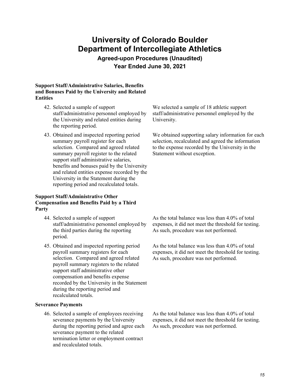**Agreed-upon Procedures (Unaudited) Year Ended June 30, 2021** 

#### **Support Staff/Administrative Salaries, Benefits and Bonuses Paid by the University and Related Entities**

- 42. Selected a sample of support staff/administrative personnel employed by the University and related entities during the reporting period.
- 43. Obtained and inspected reporting period summary payroll register for each selection. Compared and agreed related summary payroll register to the related support staff administrative salaries, benefits and bonuses paid by the University and related entities expense recorded by the University in the Statement during the reporting period and recalculated totals.

#### **Support Staff/Administrative Other Compensation and Benefits Paid by a Third Party**

- 44. Selected a sample of support staff/administrative personnel employed by the third parties during the reporting period.
- 45. Obtained and inspected reporting period payroll summary registers for each selection. Compared and agreed related payroll summary registers to the related support staff administrative other compensation and benefits expense recorded by the University in the Statement during the reporting period and recalculated totals.

#### **Severance Payments**

46. Selected a sample of employees receiving severance payments by the University during the reporting period and agree each severance payment to the related termination letter or employment contract and recalculated totals.

We selected a sample of 18 athletic support staff/administrative personnel employed by the University.

We obtained supporting salary information for each selection, recalculated and agreed the information to the expense recorded by the University in the Statement without exception.

As the total balance was less than 4.0% of total expenses, it did not meet the threshold for testing. As such, procedure was not performed.

As the total balance was less than 4.0% of total expenses, it did not meet the threshold for testing. As such, procedure was not performed.

As the total balance was less than 4.0% of total expenses, it did not meet the threshold for testing. As such, procedure was not performed.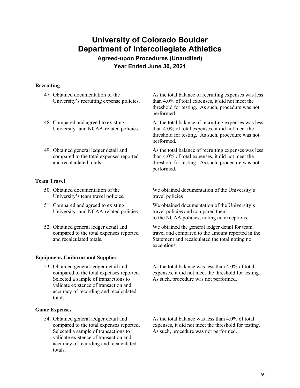**Agreed-upon Procedures (Unaudited) Year Ended June 30, 2021** 

#### **Recruiting**

- 47. Obtained documentation of the University's recruiting expense policies.
- 48. Compared and agreed to existing University- and NCAA-related policies.
- 49. Obtained general ledger detail and compared to the total expenses reported and recalculated totals.

#### **Team Travel**

- 50. Obtained documentation of the University's team travel policies.
- 51. Compared and agreed to existing University- and NCAA-related policies.
- 52. Obtained general ledger detail and compared to the total expenses reported and recalculated totals.

#### **Equipment, Uniforms and Supplies**

53. Obtained general ledger detail and compared to the total expenses reported. Selected a sample of transactions to validate existence of transaction and accuracy of recording and recalculated totals.

#### **Game Expenses**

54. Obtained general ledger detail and compared to the total expenses reported. Selected a sample of transactions to validate existence of transaction and accuracy of recording and recalculated totals.

As the total balance of recruiting expenses was less than 4.0% of total expenses, it did not meet the threshold for testing. As such, procedure was not performed.

As the total balance of recruiting expenses was less than 4.0% of total expenses, it did not meet the threshold for testing. As such, procedure was not performed.

As the total balance of recruiting expenses was less than 4.0% of total expenses, it did not meet the threshold for testing. As such, procedure was not performed.

We obtained documentation of the University's travel policies

We obtained documentation of the University's travel policies and compared them to the NCAA policies, noting no exceptions.

We obtained the general ledger detail for team travel and compared to the amount reported in the Statement and recalculated the total noting no exceptions.

As the total balance was less than 4.0% of total expenses, it did not meet the threshold for testing. As such, procedure was not performed.

As the total balance was less than 4.0% of total expenses, it did not meet the threshold for testing. As such, procedure was not performed.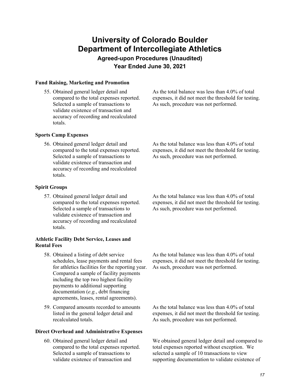**Agreed-upon Procedures (Unaudited) Year Ended June 30, 2021** 

#### **Fund Raising, Marketing and Promotion**

55. Obtained general ledger detail and compared to the total expenses reported. Selected a sample of transactions to validate existence of transaction and accuracy of recording and recalculated totals.

As the total balance was less than 4.0% of total expenses, it did not meet the threshold for testing. As such, procedure was not performed.

#### **Sports Camp Expenses**

56. Obtained general ledger detail and compared to the total expenses reported. Selected a sample of transactions to validate existence of transaction and accuracy of recording and recalculated totals.

As the total balance was less than 4.0% of total expenses, it did not meet the threshold for testing. As such, procedure was not performed.

#### **Spirit Groups**

57. Obtained general ledger detail and compared to the total expenses reported. Selected a sample of transactions to validate existence of transaction and accuracy of recording and recalculated totals.

#### **Athletic Facility Debt Service, Leases and Rental Fees**

- 58. Obtained a listing of debt service schedules, lease payments and rental fees for athletics facilities for the reporting year. Compared a sample of facility payments including the top two highest facility payments to additional supporting documentation (*e.g.*, debt financing agreements, leases, rental agreements).
- 59. Compared amounts recorded to amounts listed in the general ledger detail and recalculated totals.

#### **Direct Overhead and Administrative Expenses**

60. Obtained general ledger detail and compared to the total expenses reported. Selected a sample of transactions to validate existence of transaction and

As the total balance was less than 4.0% of total expenses, it did not meet the threshold for testing. As such, procedure was not performed.

As the total balance was less than 4.0% of total expenses, it did not meet the threshold for testing. As such, procedure was not performed.

As the total balance was less than 4.0% of total expenses, it did not meet the threshold for testing. As such, procedure was not performed.

We obtained general ledger detail and compared to total expenses reported without exception. We selected a sample of 10 transactions to view supporting documentation to validate existence of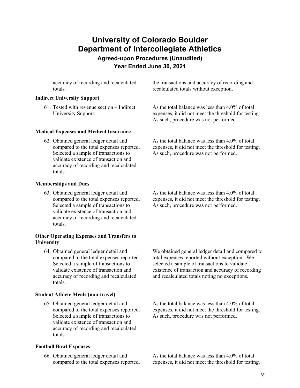**Agreed-upon Procedures (Unaudited) Year Ended June 30, 2021** 

accuracy of recording and recalculated totals.

#### **Indirect University Support**

61. Tested with revenue section – Indirect University Support.

#### **Medical Expenses and Medical Insurance**

62. Obtained general ledger detail and compared to the total expenses reported. Selected a sample of transactions to validate existence of transaction and accuracy of recording and recalculated totals.

the transactions and accuracy of recording and recalculated totals without exception.

As the total balance was less than 4.0% of total expenses, it did not meet the threshold for testing. As such, procedure was not performed.

As the total balance was less than 4.0% of total expenses, it did not meet the threshold for testing. As such, procedure was not performed.

#### **Memberships and Dues**

63. Obtained general ledger detail and compared to the total expenses reported. Selected a sample of transactions to validate existence of transaction and accuracy of recording and recalculated totals.

#### **Other Operating Expenses and Transfers to University**

64. Obtained general ledger detail and compared to the total expenses reported. Selected a sample of transactions to validate existence of transaction and accuracy of recording and recalculated totals.

#### **Student Athlete Meals (non-travel)**

65. Obtained general ledger detail and compared to the total expenses reported. Selected a sample of transactions to validate existence of transaction and accuracy of recording and recalculated totals.

#### **Football Bowl Expenses**

66. Obtained general ledger detail and compared to the total expenses reported. As the total balance was less than 4.0% of total expenses, it did not meet the threshold for testing. As such, procedure was not performed.

We obtained general ledger detail and compared to total expenses reported without exception. We selected a sample of transactions to validate existence of transaction and accuracy of recording and recalculated totals noting no exceptions.

As the total balance was less than 4.0% of total expenses, it did not meet the threshold for testing. As such, procedure was not performed.

As the total balance was less than 4.0% of total expenses, it did not meet the threshold for testing.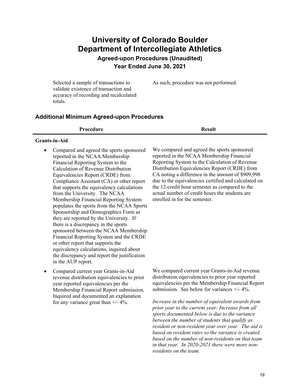**Agreed-upon Procedures (Unaudited) Year Ended June 30, 2021** 

Selected a sample of transactions to validate existence of transaction and accuracy of recording and recalculated totals.

**Additional Minimum Agreed-upon Procedures** 

| <b>Result</b> |
|---------------|
|               |

#### **Grants-in-Aid**

- Compared and agreed the sports sponsored reported in the NCAA Membership Financial Reporting System to the Calculation of Revenue Distribution Equivalencies Report (CRDE) from Compliance Assistant (CA) or other report that supports the equivalency calculations from the University. The NCAA Membership Financial Reporting System populates the sports from the NCAA Sports Sponsorship and Demographics Form as they are reported by the University. If there is a discrepancy in the sports sponsored between the NCAA Membership Financial Reporting System and the CRDE or other report that supports the equivalency calculations, inquired about the discrepancy and report the justification in the AUP report.
- Compared current year Grants-in-Aid revenue distribution equivalencies to prior year reported equivalencies per the Membership Financial Report submission. Inquired and documented an explanation for any variance great than  $+/- 4\%$ .

We compared and agreed the sports sponsored reported in the NCAA Membership Financial Reporting System to the Calculation of Revenue Distribution Equivalencies Report (CRDE) from CA noting a difference in the amount of \$909,998 due to the equivalencies certified and calculated on the 12-credit hour semester as compared to the actual number of credit hours the students are enrolled in for the semester.

As such, procedure was not performed.

We compared current year Grants-in-Aid revenue distribution equivalencies to prior year reported equivalencies per the Membership Financial Report submission. See below for variances  $+/- 4\%$ .

*Increase in the number of equivalent awards from prior year to the current year: Increase from all sports documented below is due to the variance between the number of students that qualify as resident or non-resident year over year. The aid is based on resident rates so the variance is created based on the number of non-residents on that team in that year. In 2020-2021 there were more nonresidents on the team.*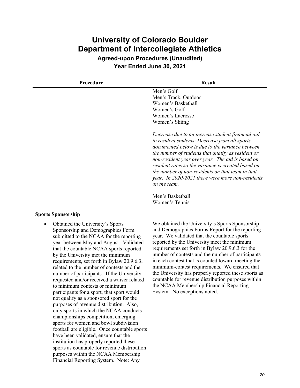**Agreed-upon Procedures (Unaudited) Year Ended June 30, 2021** 

| Procedure           | <b>Result</b>                                                                                                                                                                                                                                                                                                                                                                                                                                  |
|---------------------|------------------------------------------------------------------------------------------------------------------------------------------------------------------------------------------------------------------------------------------------------------------------------------------------------------------------------------------------------------------------------------------------------------------------------------------------|
|                     | Men's Golf                                                                                                                                                                                                                                                                                                                                                                                                                                     |
|                     | Men's Track, Outdoor                                                                                                                                                                                                                                                                                                                                                                                                                           |
|                     | Women's Basketball                                                                                                                                                                                                                                                                                                                                                                                                                             |
|                     | Women's Golf                                                                                                                                                                                                                                                                                                                                                                                                                                   |
|                     | Women's Lacrosse                                                                                                                                                                                                                                                                                                                                                                                                                               |
|                     | Women's Skiing                                                                                                                                                                                                                                                                                                                                                                                                                                 |
|                     | Decrease due to an increase student financial aid<br>to resident students: Decrease from all sports<br>documented below is due to the variance between<br>the number of students that qualify as resident or<br>non-resident year over year. The aid is based on<br>resident rates so the variance is created based on<br>the number of non-residents on that team in that<br>year. In 2020-2021 there were more non-residents<br>on the team. |
|                     | Men's Basketball                                                                                                                                                                                                                                                                                                                                                                                                                               |
|                     | Women's Tennis                                                                                                                                                                                                                                                                                                                                                                                                                                 |
| Canato Canangoughia |                                                                                                                                                                                                                                                                                                                                                                                                                                                |

#### **Sports Sponsorship**

 Obtained the University's Sports Sponsorship and Demographics Form submitted to the NCAA for the reporting year between May and August. Validated that the countable NCAA sports reported by the University met the minimum requirements, set forth in Bylaw 20.9.6.3, related to the number of contests and the number of participants. If the University requested and/or received a waiver related to minimum contests or minimum participants for a sport, that sport would not qualify as a sponsored sport for the purposes of revenue distribution. Also, only sports in which the NCAA conducts championships competition, emerging sports for women and bowl subdivision football are eligible. Once countable sports have been validated, ensure that the institution has properly reported these sports as countable for revenue distribution purposes within the NCAA Membership Financial Reporting System. Note: Any

We obtained the University's Sports Sponsorship and Demographics Forms Report for the reporting year. We validated that the countable sports reported by the University meet the minimum requirements set forth in Bylaw 20.9.6.3 for the number of contests and the number of participants in each contest that is counted toward meeting the minimum-contest requirements. We ensured that the University has properly reported these sports as countable for revenue distribution purposes within the NCAA Membership Financial Reporting System. No exceptions noted.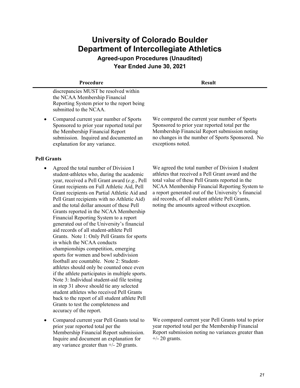**Procedure Result** 

**Agreed-upon Procedures (Unaudited) Year Ended June 30, 2021** 

| discrepancies MUST be resolved within      |
|--------------------------------------------|
| the NCAA Membership Financial              |
| Reporting System prior to the report being |
| submitted to the NCAA.                     |

• Compared current year number of Sports Sponsored to prior year reported total per the Membership Financial Report submission. Inquired and documented an explanation for any variance.

#### **Pell Grants**

- Agreed the total number of Division I student-athletes who, during the academic year, received a Pell Grant award (*e.g.*, Pell Grant recipients on Full Athletic Aid, Pell Grant recipients on Partial Athletic Aid and Pell Grant recipients with no Athletic Aid) and the total dollar amount of these Pell Grants reported in the NCAA Membership Financial Reporting System to a report generated out of the University's financial aid records of all student-athlete Pell Grants. Note 1: Only Pell Grants for sports in which the NCAA conducts championships competition, emerging sports for women and bowl subdivision football are countable. Note 2: Studentathletes should only be counted once even if the athlete participates in multiple sports. Note 3: Individual student-aid file testing in step 31 above should tie any selected student athletes who received Pell Grants back to the report of all student athlete Pell Grants to test the completeness and accuracy of the report.
- Compared current year Pell Grants total to prior year reported total per the Membership Financial Report submission. Inquire and document an explanation for any variance greater than +/- 20 grants.

We compared the current year number of Sports Sponsored to prior year reported total per the Membership Financial Report submission noting no changes in the number of Sports Sponsored. No exceptions noted.

We agreed the total number of Division I student athletes that received a Pell Grant award and the total value of these Pell Grants reported in the NCAA Membership Financial Reporting System to a report generated out of the University's financial aid records, of all student athlete Pell Grants, noting the amounts agreed without exception.

We compared current year Pell Grants total to prior year reported total per the Membership Financial Report submission noting no variances greater than  $+/- 20$  grants.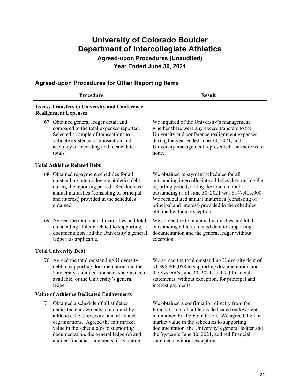**Agreed-upon Procedures (Unaudited) Year Ended June 30, 2021** 

#### **Agreed-upon Procedures for Other Reporting Items**

| Procedure                                                                           | <b>Result</b>                                                                                |
|-------------------------------------------------------------------------------------|----------------------------------------------------------------------------------------------|
| <b>Excess Transfers to University and Conference</b><br><b>Realignment Expenses</b> |                                                                                              |
| 67. Obtained general ledger detail and<br>compared to the total expenses reported.  | We inquired of the University's management<br>whether there were any excess transfers to the |

compared to the total expenses reported. Selected a sample of transactions to validate existence of transaction and accuracy of recording and recalculated totals.

#### **Total Athletics Related Debt**

- 68. Obtained repayment schedules for all outstanding intercollegiate athletics debt during the reporting period. Recalculated annual maturities (consisting of principal and interest) provided in the schedules obtained.
- 69. Agreed the total annual maturities and total outstanding athletic related to supporting documentation and the University's general ledger, as applicable.

#### **Total University Debt**

70. Agreed the total outstanding University debt to supporting documentation and the University's audited financial statements, if available, or the University's general ledger.

#### **Value of Athletics Dedicated Endowments**

71. Obtained a schedule of all athletics dedicated endowments maintained by athletics, the University, and affiliated organizations. Agreed the fair market value in the schedule(s) to supporting documentation, the general ledger(s) and audited financial statements, if available.

whether there were any excess transfers to the University and conference realignment expenses during the year ended June 30, 2021, and University management represented that there were none.

We obtained repayment schedules for all outstanding intercollegiate athletics debt during the reporting period, noting the total amount outstanding as of June 30, 2021 was \$147,405,000. We recalculated annual maturities (consisting of principal and interest) provided in the schedules obtained without exception.

We agreed the total annual maturities and total outstanding athletic related debt to supporting documentation and the general ledger without exception.

We agreed the total outstanding University debt of \$1,898,804,058 to supporting documentation and the System's June 30, 2021, audited financial statements, without exception, for principal and interest payments.

We obtained a confirmation directly from the Foundation of all athletics dedicated endowments maintained by the Foundation. We agreed the fair market value in the schedules to supporting documentation, the University's general ledger and the System's June 30, 2021, audited financial statements without exception.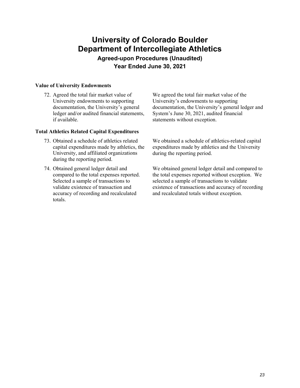**Agreed-upon Procedures (Unaudited) Year Ended June 30, 2021** 

#### **Value of University Endowments**

72. Agreed the total fair market value of University endowments to supporting documentation, the University's general ledger and/or audited financial statements, if available.

#### **Total Athletics Related Capital Expenditures**

- 73. Obtained a schedule of athletics related capital expenditures made by athletics, the University, and affiliated organizations during the reporting period.
- 74. Obtained general ledger detail and compared to the total expenses reported. Selected a sample of transactions to validate existence of transaction and accuracy of recording and recalculated totals.

We agreed the total fair market value of the University's endowments to supporting documentation, the University's general ledger and System's June 30, 2021, audited financial statements without exception.

We obtained a schedule of athletics-related capital expenditures made by athletics and the University during the reporting period.

We obtained general ledger detail and compared to the total expenses reported without exception. We selected a sample of transactions to validate existence of transactions and accuracy of recording and recalculated totals without exception.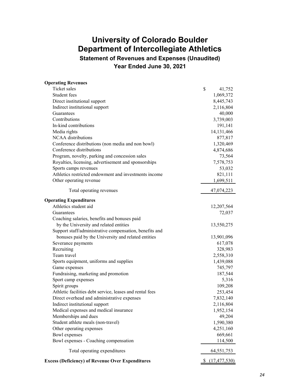**Statement of Revenues and Expenses (Unaudited) Year Ended June 30, 2021** 

| <b>Operating Revenues</b>                                |                |
|----------------------------------------------------------|----------------|
| Ticket sales                                             | \$<br>41,752   |
| Student fees                                             | 1,069,372      |
| Direct institutional support                             | 8,445,743      |
| Indirect institutional support                           | 2,116,804      |
| Guarantees                                               | 40,000         |
| Contributions                                            | 3,739,003      |
| In-kind contributions                                    | 191,141        |
| Media rights                                             | 14,131,466     |
| NCAA distributions                                       | 877,817        |
| Conference distributions (non media and non bowl)        | 1,320,469      |
| Conference distributions                                 | 4,874,686      |
| Program, novelty, parking and concession sales           | 73,564         |
| Royalties, licensing, advertisement and sponsorships     | 7,578,753      |
| Sports camps revenues                                    | 53,032         |
| Athletics restricted endowment and investments income    | 821,111        |
| Other operating revenue                                  | 1,699,511      |
| Total operating revenues                                 | 47,074,223     |
|                                                          |                |
| <b>Operating Expenditures</b>                            |                |
| Athletics student aid                                    | 12,207,564     |
| Guarantees                                               | 72,037         |
| Coaching salaries, benefits and bonuses paid             |                |
| by the University and related entities                   | 13,550,275     |
| Support staff/administrative compensation, benefits and  |                |
| bonuses paid by the University and related entities      | 13,901,096     |
| Severance payments                                       | 617,078        |
| Recruiting                                               | 328,983        |
| Team travel                                              | 2,558,310      |
| Sports equipment, uniforms and supplies                  | 1,439,088      |
| Game expenses                                            | 745,797        |
| Fundraising, marketing and promotion                     | 187,544        |
| Sport camp expenses                                      | 5,316          |
| Spirit groups                                            | 109,208        |
| Athletic facilities debt service, leases and rental fees | 253,454        |
| Direct overhead and administrative expenses              | 7,832,140      |
| Indirect institutional support                           | 2,116,804      |
| Medical expenses and medical insurance                   | 1,952,154      |
| Memberships and dues                                     | 49,204         |
| Student athlete meals (non-travel)                       | 1,590,380      |
| Other operating expenses                                 | 4,251,160      |
| Bowl expenses                                            | 669,661        |
| Bowl expenses - Coaching compensation                    | 114,500        |
| Total operating expenditures                             | 64, 551, 753   |
| <b>Excess (Deficiency) of Revenue Over Expenditures</b>  | (17, 477, 530) |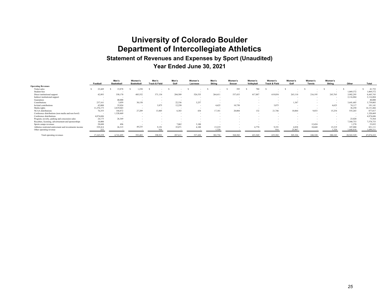### **University of Colorado Boulder Department of Intercollegiate Athletics Statement of Revenues and Expenses by Sport (Unaudited) Year Ended June 30, 2021**

|                                                       | Football   | Men's<br><b>Basketball</b> | Women's<br><b>Basketball</b> | Men's<br><b>Track &amp; Field</b> | Men's<br>Golf            | Women's<br>Lacrosse | Men's<br>Skiina | Women's<br>Soccer | Women's<br>Volleyball | Women's<br><b>Track &amp; Field</b> | Women's<br>Golf | Women's<br><b>Tennis</b> | Women's<br>Skiina | Other      | Total      |
|-------------------------------------------------------|------------|----------------------------|------------------------------|-----------------------------------|--------------------------|---------------------|-----------------|-------------------|-----------------------|-------------------------------------|-----------------|--------------------------|-------------------|------------|------------|
| <b>Operating Revenues</b>                             |            |                            |                              |                                   |                          |                     |                 |                   |                       |                                     |                 |                          |                   |            |            |
| Ticket sales                                          | 23,449     | 15.878                     | .250                         |                                   |                          |                     |                 | 395               | 780                   |                                     |                 |                          |                   |            | 41,752     |
| Student fees                                          | $\sim$     |                            |                              | $\overline{\phantom{a}}$          | $\overline{\phantom{a}}$ |                     |                 | $\sim$            | $\sim$                |                                     |                 | $\overline{\phantom{a}}$ | . .               | 1,069,372  | 1,069,372  |
| Direct institutional support                          | 42,893     | 350,170                    | 485,552                      | 371,134                           | 204,509                  | 526,535             | 264.411         | 537,433           | 417,887               | 619,854                             | 263,110         | 216,195                  | 243,765           | 3,902,295  | 8,445,743  |
| Indirect institutional support                        |            |                            |                              | $\overline{\phantom{a}}$          | . .                      |                     |                 |                   |                       |                                     |                 |                          | .                 | 2,116,804  | 2,116,804  |
| Guarantees                                            |            | 40,000                     |                              | $\sim$                            | $\overline{\phantom{a}}$ |                     |                 |                   |                       |                                     |                 |                          |                   |            | 40,000     |
| Contributions                                         | 237.161    | 3.059                      | 30.158                       |                                   | 22.336                   | 3,257               |                 |                   |                       |                                     | 1.347           |                          |                   | 3,441,685  | 3,739,003  |
| In-kind contributions                                 | 42,000     | 35,024                     | $\sim$                       | 3.875                             | 12,250                   |                     | 4.625           | 10,750            | . .                   | 3,875                               |                 |                          | 4.625             | 74,117     | 191,141    |
| Media rights                                          | 11,276,173 | 2,819,043                  | $\sim$                       | $\sim$                            | $\sim$                   |                     | $\sim$          |                   | . .                   | $\sim$                              |                 | $\sim$                   |                   | 36,250     | 14,131,466 |
| NCAA distributions                                    | 76,355     | 104,872                    | 27,289                       | 13,805                            | 6,383                    | 434                 | 17,181          | 20,004            | 132                   | 21,746                              | 10,064          | 9,033                    | 15,254            | 555,265    | 877,817    |
| Conference distributions (non media and non bowl)     |            | 1,320,469                  | $\sim$                       | $\sim$                            | $\sim$                   |                     | $\sim$          | $\sim$            | . .                   | $\sim$                              | $\sim$          | $\sim$                   |                   | $\sim$     | 1,320,469  |
| Conference distributions                              | 4,874,686  |                            | $\sim$                       |                                   |                          |                     |                 |                   |                       |                                     |                 |                          |                   |            | 4,874,686  |
| Program, novelty, parking and concession sales        | 24,175     | 26,369                     |                              |                                   |                          |                     |                 | $\sim$            |                       |                                     |                 |                          | $\sim$            | 23,020     | 73,564     |
| Royalties, licensing, advertisement and sponsorships  | 10,000     | $\sim$                     |                              |                                   |                          |                     |                 |                   |                       |                                     |                 |                          |                   | 7,568,753  | 7,578,753  |
| Sports camps revenues                                 | 28,680     | 496                        |                              |                                   | 7,062                    | 3,100               |                 |                   |                       |                                     |                 | 12.424                   | ۰.                | 1,270      | 53,032     |
| Athletics restricted endowment and investments income | 529,414    | 26,315                     | 49.235                       | 9.191                             | 35,071                   | 4,100               | 15,219          | $\sim$            | 4,770                 | 9.191                               | 4.838           | 10,668                   | 15,219            | 107,880    | 821,11     |
| Other operating revenue                               |            |                            |                              |                                   |                          |                     | 1,320           |                   |                       |                                     | 25,967          |                          | 1.320             | 1.668.81   | 1,699,511  |
| Total operating revenues                              | 17,165,239 | 4.741.695                  | 593,483                      | 398,921                           | 287.611                  | 537,426             | 302,756         | 568,582           | 423.569               | 655,582                             | 305.326         | 248,320                  | 280,183           | 20.565.529 | 47.074.223 |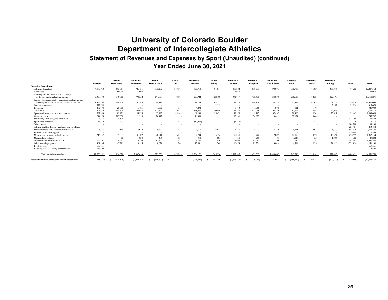### **University of Colorado Boulder Department of Intercollegiate Athletics Statement of Revenues and Expenses by Sport (Unaudited) (continued) Year Ended June 30, 2021**

|                                                          | Football   | Men's<br><b>Basketball</b> | Women's<br><b>Basketball</b> | Men's<br><b>Track &amp; Field</b> | Men's<br>Golf | Women's<br>Lacrosse | Men's<br><b>Skiina</b>   | Women's<br>Soccer        | Women's<br>Volleyball | Women's<br><b>Track &amp; Field</b> | Women's<br>Golf          | Women's<br><b>Tennis</b> | Women's<br>Skiina | Other                    | Total           |
|----------------------------------------------------------|------------|----------------------------|------------------------------|-----------------------------------|---------------|---------------------|--------------------------|--------------------------|-----------------------|-------------------------------------|--------------------------|--------------------------|-------------------|--------------------------|-----------------|
| <b>Operating Expenditures</b>                            |            |                            |                              |                                   |               |                     |                          |                          |                       |                                     |                          |                          |                   |                          |                 |
| Athletics student aid                                    | 4,879,960  | 693,354                    | 926,431                      | 606,202                           | 280,971       | 677,710             | 401,014                  | 850,284                  | 688,797               | 890,076                             | 375,715                  | 405,839                  | 455,956           | 75,255                   | 12,207,564      |
| Guarantees                                               |            | 60,000                     | 11,000                       | $\sim$                            | $\sim$        |                     |                          | 1,037                    | $\sim$                | $\sim$                              | $\overline{\phantom{a}}$ | $\overline{\phantom{a}}$ |                   |                          | 72,037          |
| Coaching salaries, benefits and bonuses paid             |            |                            |                              |                                   |               |                     |                          |                          |                       |                                     |                          |                          |                   |                          |                 |
| by the University and related entities                   | 7,308,170  | 3,040,805                  | 798,552                      | 244,878                           | 198,193       | 279,922             | 122,198                  | 392,747                  | 402,605               | 244,878                             | 210,605                  | 184,524                  | 122,198           | $\overline{\phantom{a}}$ | 13,550,275      |
| Support staff/administrative compensation, benefits and  |            |                            |                              |                                   |               |                     |                          |                          |                       |                                     |                          |                          |                   |                          |                 |
| bonuses paid by the University and related entities      | 1,365,894  | 306,376                    | 201,143                      | 34.314                            | 33,723        | 88,103              | 68,172                   | 52,839                   | 134,149               | 34.314                              | 15,899                   | 41,619                   | 68,172            | 11,456,379               | 13,901,096      |
| Severance payments                                       | 577,758    | $\sim$                     | . .                          | $\overline{\phantom{a}}$          | $\sim$        |                     | 2,153                    | $\sim$                   |                       |                                     |                          | $\overline{\phantom{a}}$ | 2,153             | 35,014                   | 617,078         |
| Recruiting                                               | 272,794    | 26,885                     | 6.185                        | 1,072                             | 1,963         | 4,294               | $\overline{\phantom{a}}$ | 5,443                    | 6,966                 | 1,072                               | 811                      | 1,498                    | . .               | $\overline{\phantom{a}}$ | 328,983         |
| Team travel                                              | 493,280    | 604,670                    | 409,658                      | 197.329                           | 80,036        | 135,265             | 49,046                   | 123,426                  | 104,065               | 197.329                             | 67,604                   | 47,557                   | 49,046            | $\sim$                   | 2,558,310       |
| Sports equipment, uniforms and supplies                  | 763,359    | 93,831                     | 84,874                       | 67,497                            | 45,465        | 69,298              | 25,621                   | 49,179                   | 42,182                | 67,497                              | 38,300                   | 32,701                   | 25,621            | 33,663                   | 1,439,088       |
| Game expenses                                            | 244,574    | 207,838                    | 121,398                      | 20,412                            | $\sim$        | 16,888              | $\sim$                   | 35,101                   | 38,977                | 20,412                              | 32,151                   | 8,046                    | . .               | $\sim$                   | 745,797         |
| Fundraising, marketing and promotion                     | 4,456      | 4,830                      |                              | $\sim$                            | $\sim$        |                     |                          | $\overline{\phantom{a}}$ | . .                   |                                     |                          | . .                      | $\sim$            | 178,258                  | 187,544         |
| Sport camp expenses                                      | 16,330     | 1,323                      | $\overline{\phantom{a}}$     | $\overline{\phantom{a}}$          | 3,146         | (12,950)            |                          | (4,275)                  |                       |                                     |                          | 1,472                    | $\sim$            | 270                      | 5,316           |
| Spirit groups                                            | $\sim$     |                            |                              | $\overline{\phantom{a}}$          | $\sim$        |                     |                          |                          | . .                   |                                     |                          | $\sim$                   | $\sim$            | 109,208                  | 109,208         |
| Athletic facilities debt service, leases and rental fees |            |                            | ۰.                           | $\sim$                            | $\sim$        |                     |                          | $\overline{\phantom{a}}$ | $\sim$                |                                     |                          | $\overline{\phantom{a}}$ | $\sim$            | 253,454                  | 253,454         |
| Direct overhead and administrative expenses              | 98,463     | 17,544                     | 13,044                       | 8,270                             | 1,974         | 3,315               | 8,817                    | 6,781                    | 5,027                 | 8,270                               | 4,735                    | 2,011                    | 8,817             | 7,645,070                | 7,832,140       |
| Indirect institutional support                           |            |                            |                              | $\sim$                            | $\sim$        |                     | $\overline{\phantom{a}}$ | $\sim$                   | $\sim$                | $\sim$                              | $\sim$                   | $\overline{\phantom{a}}$ | $\sim$            | 2,116,804                | 2,116,804       |
| Medical expenses and medical insurance                   | 243,257    | 35,333                     | 31,182                       | 28,844                            | 6,855         | 7,784               | 15,374                   | 58,880                   | 5.744                 | 12,092                              | 12,058                   | 8,778                    | 15,374            | 1,470,599                | 1,952,154       |
| Memberships and dues                                     |            | 85                         | 828                          | 484                               | 1,135         | 350                 | 1,006                    | 620                      | 265                   | 484                                 | 1,026                    | 550                      | 1,006             | 41.365                   | 49,204          |
| Student athlete meals (non-travel)                       | 166,801    | 16.261                     | 16,770                       | 11,200                            | 123           | 1,702               | 826                      | 4.605                    | 11,582                | 11,200                              | 130                      | 1,192                    | 826               | 1,347,162                | 1,590,380       |
| Other operating expenses                                 | 301,295    | 47,385                     | 16.585                       | 9,028                             | 22,304        | 12,491              | 51,769                   | 10,478                   | 12,224                | 9.043                               | 4.564                    | 2,756                    | 28,326            | 3,722,914                | 4,251,160       |
| <b>Bowl</b> expenses                                     | 669,661    |                            |                              |                                   |               |                     |                          |                          |                       |                                     |                          |                          |                   |                          | 669,661         |
| Bowl expenses - Coaching compensation                    | 114,500    |                            |                              |                                   |               |                     |                          |                          |                       |                                     |                          |                          |                   |                          | 114,500         |
| Total operating expenditures                             | 17.520.552 | 5.156.520                  | 2.637.650                    | 1.229.530                         | 675,888       | 1,284,172           | 745,996                  | 1.587.145                | 1.452.583             | 1,496,667                           | 763,598                  | 738,543                  | 777,495           | 28,485,415               | 64,551,753      |
| <b>Excess (Deficiency) of Revenue Over Expenditures</b>  | (355, 313) | (414.825)                  | (2.044.167)                  | (830, 609)                        | (388.277)     | (746, 746)          | (443, 240)               | (1,018,563)              | (1,029,014)           | (841.085)                           | (458.272)                | (490.223)                | (497.312)         | (7.919.886)              | \$ (17,477,530) |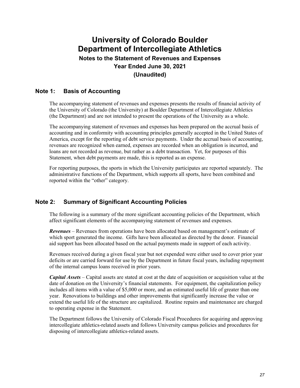### **University of Colorado Boulder Department of Intercollegiate Athletics Notes to the Statement of Revenues and Expenses Year Ended June 30, 2021 (Unaudited)**

#### **Note 1: Basis of Accounting**

The accompanying statement of revenues and expenses presents the results of financial activity of the University of Colorado (the University) at Boulder Department of Intercollegiate Athletics (the Department) and are not intended to present the operations of the University as a whole.

The accompanying statement of revenues and expenses has been prepared on the accrual basis of accounting and in conformity with accounting principles generally accepted in the United States of America, except for the reporting of debt service payments. Under the accrual basis of accounting, revenues are recognized when earned, expenses are recorded when an obligation is incurred, and loans are not recorded as revenue, but rather as a debt transaction. Yet, for purposes of this Statement, when debt payments are made, this is reported as an expense.

For reporting purposes, the sports in which the University participates are reported separately. The administrative functions of the Department, which supports all sports, have been combined and reported within the "other" category.

#### **Note 2: Summary of Significant Accounting Policies**

The following is a summary of the more significant accounting policies of the Department, which affect significant elements of the accompanying statement of revenues and expenses.

*Revenues* – Revenues from operations have been allocated based on management's estimate of which sport generated the income. Gifts have been allocated as directed by the donor. Financial aid support has been allocated based on the actual payments made in support of each activity.

Revenues received during a given fiscal year but not expended were either used to cover prior year deficits or are carried forward for use by the Department in future fiscal years, including repayment of the internal campus loans received in prior years.

*Capital Assets* – Capital assets are stated at cost at the date of acquisition or acquisition value at the date of donation on the University's financial statements. For equipment, the capitalization policy includes all items with a value of \$5,000 or more, and an estimated useful life of greater than one year. Renovations to buildings and other improvements that significantly increase the value or extend the useful life of the structure are capitalized. Routine repairs and maintenance are charged to operating expense in the Statement.

The Department follows the University of Colorado Fiscal Procedures for acquiring and approving intercollegiate athletics-related assets and follows University campus policies and procedures for disposing of intercollegiate athletics-related assets.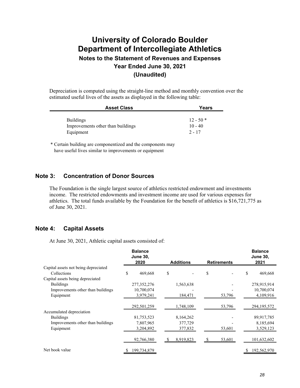### **University of Colorado Boulder Department of Intercollegiate Athletics Notes to the Statement of Revenues and Expenses Year Ended June 30, 2021 (Unaudited)**

Depreciation is computed using the straight-line method and monthly convention over the estimated useful lives of the assets as displayed in the following table:

| <b>Asset Class</b>                | Years      |
|-----------------------------------|------------|
|                                   |            |
| <b>Buildings</b>                  | $12 - 50*$ |
| Improvements other than buildings | $10 - 40$  |
| Equipment                         | $2 - 17$   |

\* Certain building are componentized and the components may have useful lives similar to improvements or equipment

#### **Note 3: Concentration of Donor Sources**

The Foundation is the single largest source of athletics restricted endowment and investments income. The restricted endowments and investment income are used for various expenses for athletics. The total funds available by the Foundation for the benefit of athletics is \$16,721,775 as of June 30, 2021.

#### **Note 4: Capital Assets**

At June 30, 2021, Athletic capital assets consisted of:

|                                      | <b>Balance</b><br><b>June 30,</b><br>2020 | <b>Additions</b> | <b>Retirements</b> |    | <b>Balance</b><br><b>June 30,</b><br>2021 |
|--------------------------------------|-------------------------------------------|------------------|--------------------|----|-------------------------------------------|
| Capital assets not being depreciated |                                           |                  |                    |    |                                           |
| Collections                          | \$<br>469,668                             | \$               | \$                 | \$ | 469,668                                   |
| Capital assets being depreciated     |                                           |                  |                    |    |                                           |
| <b>Buildings</b>                     | 277, 352, 276                             | 1,563,638        |                    |    | 278,915,914                               |
| Improvements other than buildings    | 10,700,074                                |                  |                    |    | 10,700,074                                |
| Equipment                            | 3,979,241                                 | 184,471          | 53,796             |    | 4,109,916                                 |
|                                      | 292,501,259                               | 1,748,109        | 53,796             |    | 294, 195, 572                             |
| Accumulated depreciation             |                                           |                  |                    |    |                                           |
| <b>Buildings</b>                     | 81,753,523                                | 8,164,262        |                    |    | 89,917,785                                |
| Improvements other than buildings    | 7,807,965                                 | 377,729          |                    |    | 8,185,694                                 |
| Equipment                            | 3,204,892                                 | 377,832          | 53,601             |    | 3,529,123                                 |
|                                      | 92,766,380                                | 8,919,823        | 53,601             |    | 101,632,602                               |
| Net book value                       | 199,734,879                               |                  |                    | Ÿ. | 192,562,970                               |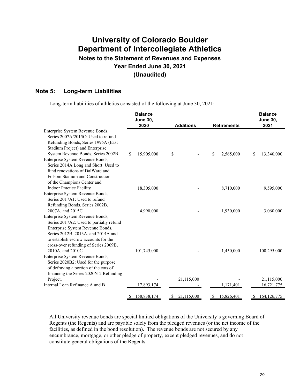### **Notes to the Statement of Revenues and Expenses Year Ended June 30, 2021 (Unaudited)**

#### **Note 5: Long-term Liabilities**

Long-term liabilities of athletics consisted of the following at June 30, 2021:

|                                                                                                                                                                                                                                                            | <b>Balance</b><br><b>June 30,</b><br>2020 | <b>Additions</b> | <b>Balance</b><br><b>June 30,</b><br>2021 |                     |  |
|------------------------------------------------------------------------------------------------------------------------------------------------------------------------------------------------------------------------------------------------------------|-------------------------------------------|------------------|-------------------------------------------|---------------------|--|
| Enterprise System Revenue Bonds,<br>Series 2007A/2015C: Used to refund<br>Refunding Bonds, Series 1995A (East<br>Stadium Project) and Enterprise<br>System Revenue Bonds, Series 2002B                                                                     | 15,905,000<br>\$                          | \$               | <b>Retirements</b><br>\$<br>2,565,000     | \$<br>13,340,000    |  |
| Enterprise System Revenue Bonds,<br>Series 2014A Long and Short: Used to<br>fund renovations of DalWard and<br>Folsom Stadium and Construction<br>of the Champions Center and                                                                              |                                           |                  |                                           |                     |  |
| <b>Indoor Practice Facility</b><br>Enterprise System Revenue Bonds,<br>Series 2017A1: Used to refund<br>Refunding Bonds, Series 2002B,                                                                                                                     | 18,305,000                                |                  | 8,710,000                                 | 9,595,000           |  |
| 2007A, and 2015C<br>Enterprise System Revenue Bonds,<br>Series 2017A2: Used to partially refund<br>Enterprise System Revenue Bonds,<br>Series 2012B, 2013A, and 2014A and<br>to establish escrow accounts for the<br>cross-over refunding of Series 2009B, | 4,990,000                                 |                  | 1,930,000                                 | 3,060,000           |  |
| 2010A, and 2010C<br>Enterprise System Revenue Bonds,<br>Series 2020B2: Used for the purpose<br>of defraying a portion of the cots of<br>financing the Series 2020N-2 Refunding                                                                             | 101,745,000                               |                  | 1,450,000                                 | 100,295,000         |  |
| Project.                                                                                                                                                                                                                                                   |                                           | 21,115,000       |                                           | 21,115,000          |  |
| Internal Loan Refinance A and B                                                                                                                                                                                                                            | 17,893,174                                |                  | 1,171,401                                 | 16,721,775          |  |
|                                                                                                                                                                                                                                                            | 158,838,174<br>\$                         | 21,115,000<br>S. | 15,826,401<br>\$                          | \$<br>164, 126, 775 |  |

All University revenue bonds are special limited obligations of the University's governing Board of Regents (the Regents) and are payable solely from the pledged revenues (or the net income of the facilities, as defined in the bond resolution). The revenue bonds are not secured by any encumbrance, mortgage, or other pledge of property, except pledged revenues, and do not constitute general obligations of the Regents.